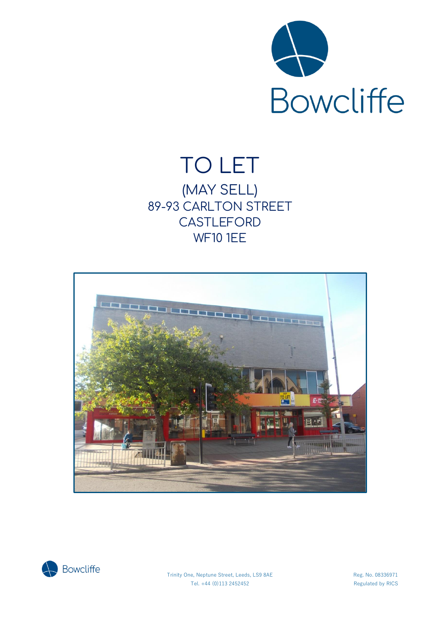

# TO LET (MAY SELL) 89-93 CARLTON STREET **CASTLEFORD** WF10 1EE





Trinity One, Neptune Street, Leeds, LS9 8AE Reg. No. 08336971 Tel. +44 (0)113 2452452 Regulated by RICS